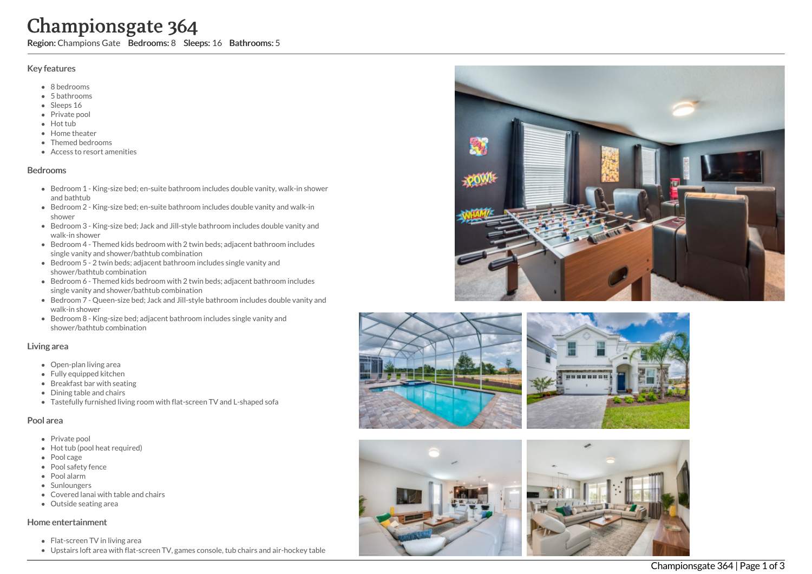# Championsgate 364

Region: Champions Gate Bedrooms: 8 Sleeps: 16 Bathrooms: 5

## Key features

- 8 b e d r o o m s
- 5 b a t h r o o m s
- Sleeps 16
- Private pool
- Hot tub
- Home theat e r
- T h e m e d b e d r o o m s
- Access to resort amenities

#### **Bedrooms**

- Bedroom 1 King-size bed; en-suite bathroom includes double vanity, walk-in shower and bathtub
- Bedroom 2 King-size bed; en-suite bathroom includes double vanity and walk-in s h o w e r
- Bedroom 3 King-size bed; Jack and Jill-style bathroom includes double vanity and walk-in shower
- Bedroom 4 Themed kids bedroom with 2 twin beds; adjacent bathroom includes single vanity and shower/bathtub combination
- Bedroom 5 2 twin beds; adjacent bathroom includes single vanity and shower/bathtub combination
- Bedroom 6 Themed kids bedroom with 2 twin beds; adjacent bathroom includes single vanity and shower/bathtub combination
- Bedroom 7 Queen-size bed; Jack and Jill-style bathroom includes double vanity and walk-in shower
- Bedroom 8 King-size bed; adjacent bathroom includes single vanity and shower/bathtub combination

#### Living area

- Open-plan living area
- Fully equipped kitchen
- Breakfast bar with seating
- Dining table and chairs
- Tastefully furnished living room with flat-screen TV and L-shaped sofa

## Pool area

- Private pool
- Hot tub (pool heat required)
- Pool cage
- Pool safety fence
- P o ol ala r m
- **Sunloungers**
- Covered lanai with table and chairs
- Outside seating area

## Home entertainment

- Flat-screen TV in living area
- Upstairs loft area with flat-screen TV, games console, tub chairs and air-hockey table







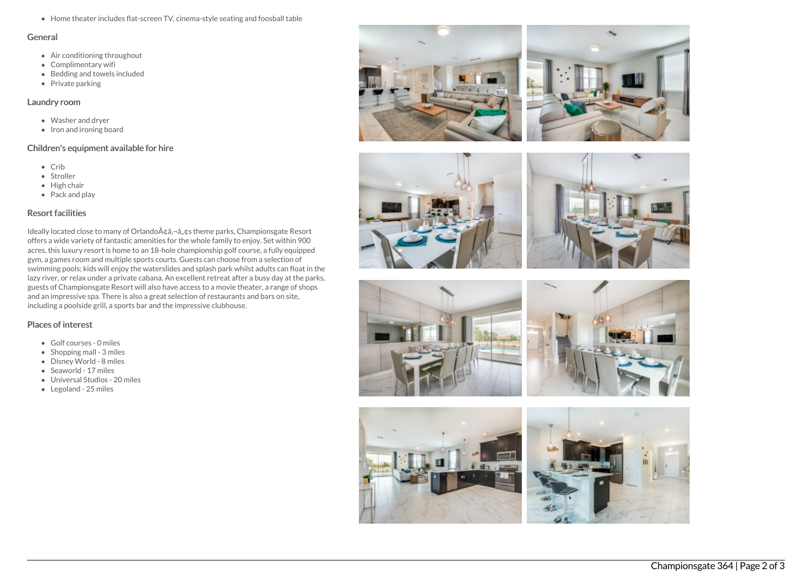Home theater includes flat-screen TV, cinema-style seating and foosball table

#### General

- Air conditioning throughout
- Complimentary wifi
- $\bullet$  Bedding and towels included
- $\bullet$  Private parking

## Laundry room

- Washer and dryer
- Iron and ironing board

# Children's equipment available for hire

- Crib
- Stroller
- $\bullet$  High chair
- Pack and play

## Resort facilities

Ideally located close to many of Orlando $A\phi$ ,  $\phi$ ,  $\phi$ s theme parks, Championsgate Resort offers a wide variety of fantastic amenities for the whole family to enjoy. Set within 900 acres, this luxury resort is home to an 18-hole championship golf course, a fully equipped gym, a games room and multiple sports courts. Guests can choose from a selection of swimming pools; kids will enjoy the waterslides and splash park whilst adults can float in the lazy river, or relax under a private cabana. An excellent retreat after a busy day at the parks, guests of Championsgate Resort will also have access to a movie theater, a range of shops and an impressive spa. There is also a great selection of restaurants and bars on site, including a poolside grill, a sports bar and the impressive clubhouse.

# Places of interest

- Golf courses 0 miles
- $\bullet$  Shopping mall 3 miles
- Disney World 8 miles
- Seaworld 17 miles
- Universal Studios 20 miles
- Legoland 25 miles